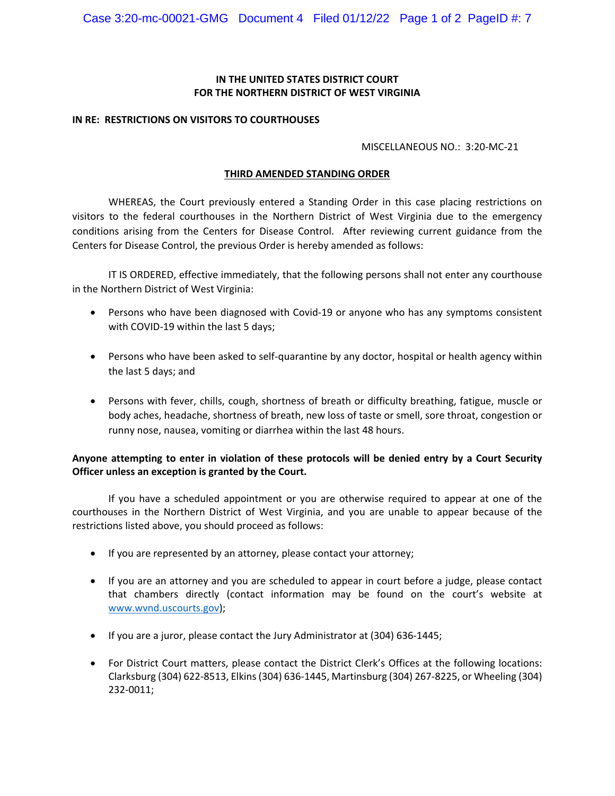## **IN THE UNITED STATES DISTRICT COURT FOR THE NORTHERN DISTRICT OF WEST VIRGINIA**

#### **IN RE: RESTRICTIONS ON VISITORS TO COURTHOUSES**

### MISCELLANEOUS NO.: 3:20-MC-21

### **THIRD AMENDED STANDING ORDER**

WHEREAS, the Court previously entered a Standing Order in this case placing restrictions on visitors to the federal courthouses in the Northern District of West Virginia due to the emergency conditions arising from the Centers for Disease Control. After reviewing current guidance from the Centers for Disease Control, the previous Order is hereby amended as follows:

IT IS ORDERED, effective immediately, that the following persons shall not enter any courthouse in the Northern District of West Virginia:

- Persons who have been diagnosed with Covid-19 or anyone who has any symptoms consistent with COVID-19 within the last 5 days;
- Persons who have been asked to self-quarantine by any doctor, hospital or health agency within the last 5 days; and
- Persons with fever, chills, cough, shortness of breath or difficulty breathing, fatigue, muscle or body aches, headache, shortness of breath, new loss of taste or smell, sore throat, congestion or runny nose, nausea, vomiting or diarrhea within the last 48 hours.

# **Anyone attempting to enter in violation of these protocols will be denied entry by a Court Security Officer unless an exception is granted by the Court.**

If you have a scheduled appointment or you are otherwise required to appear at one of the courthouses in the Northern District of West Virginia, and you are unable to appear because of the restrictions listed above, you should proceed as follows:

- If you are represented by an attorney, please contact your attorney;
- If you are an attorney and you are scheduled to appear in court before a judge, please contact that chambers directly (contact information may be found on the court's website at [www.wvnd.uscourts.gov\)](http://www.wvnd.uscourts.gov/);
- If you are a juror, please contact the Jury Administrator at (304) 636-1445;
- For District Court matters, please contact the District Clerk's Offices at the following locations: Clarksburg (304) 622-8513, Elkins (304) 636-1445, Martinsburg (304) 267-8225, or Wheeling (304) 232-0011;